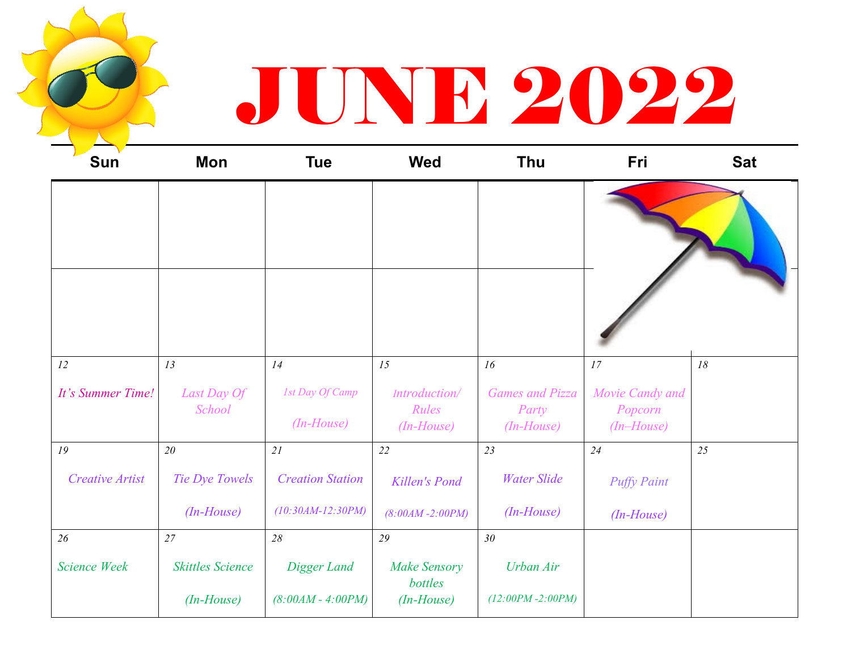## JUNE 2022

| <b>Sun</b>             | <b>Mon</b>              | <b>Tue</b>                      | <b>Wed</b>                             | <b>Thu</b>                                      | Fri                                      | <b>Sat</b> |
|------------------------|-------------------------|---------------------------------|----------------------------------------|-------------------------------------------------|------------------------------------------|------------|
|                        |                         |                                 |                                        |                                                 |                                          |            |
|                        |                         |                                 |                                        |                                                 |                                          |            |
| 12                     | 13                      | 14                              | 15                                     | 16                                              | 17                                       | $18\,$     |
| It's Summer Time!      | Last Day Of<br>School   | 1st Day Of Camp<br>$(In-House)$ | Introduction/<br>Rules<br>$(In-House)$ | <b>Games and Pizza</b><br>Party<br>$(In-House)$ | Movie Candy and<br>Popcorn<br>(In–House) |            |
| 19                     | 20                      | 21                              | 22                                     | 23                                              | 24                                       | 25         |
| <b>Creative Artist</b> | Tie Dye Towels          | <b>Creation Station</b>         | Killen's Pond                          | <b>Water Slide</b>                              | <b>Puffy Paint</b>                       |            |
|                        | $(In-House)$            | $(10:30AM-12:30PM)$             | $(8:00AM - 2:00PM)$                    | $(In-House)$                                    | $(In-House)$                             |            |
| 26                     | 27                      | 28                              | 29                                     | 30                                              |                                          |            |
| <b>Science Week</b>    | <b>Skittles Science</b> | Digger Land                     | <b>Make Sensory</b><br>bottles         | Urban Air                                       |                                          |            |
|                        | $(In-House)$            | $(8:00AM - 4:00PM)$             | $(In-House)$                           | $(12:00PM - 2:00PM)$                            |                                          |            |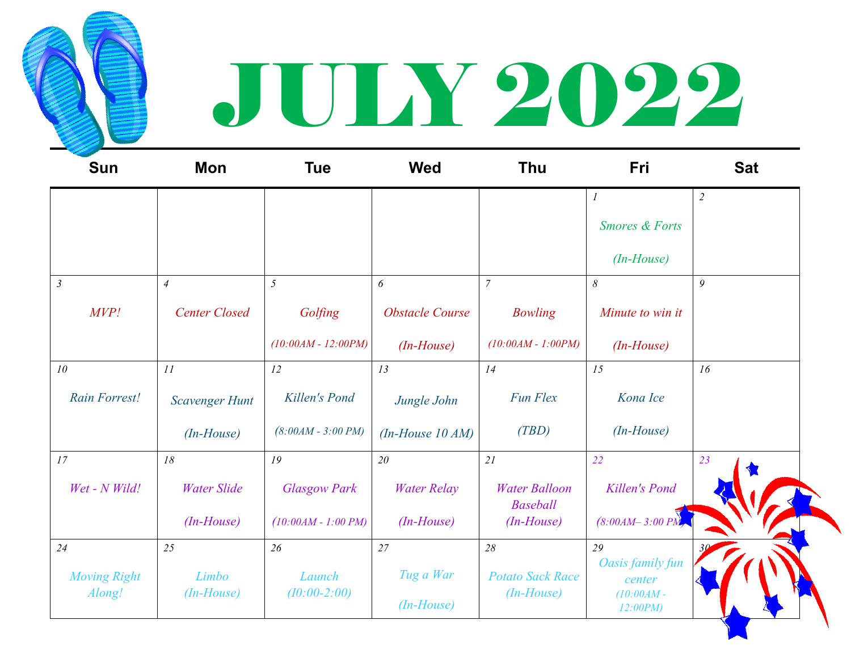

## JULY 2022

| <b>Sun</b>                    | <b>Mon</b>            | <b>Tue</b>            | <b>Wed</b>             | Thu                                     | Fri                        | <b>Sat</b>     |
|-------------------------------|-----------------------|-----------------------|------------------------|-----------------------------------------|----------------------------|----------------|
|                               |                       |                       |                        |                                         | $\boldsymbol{l}$           | $\overline{2}$ |
|                               |                       |                       |                        |                                         | <b>Smores &amp; Forts</b>  |                |
|                               |                       |                       |                        |                                         | $(In-House)$               |                |
| $\mathfrak{Z}$                | $\overline{4}$        | 5                     | 6                      | $\overline{7}$                          | $\delta$                   | 9              |
| MVP!                          | <b>Center Closed</b>  | Golfing               | <b>Obstacle Course</b> | <b>Bowling</b>                          | Minute to win it           |                |
|                               |                       | $(10:00AM - 12:00PM)$ | $(In-House)$           | $(10:00AM - 1:00PM)$                    | $(In-House)$               |                |
| 10                            | 11                    | 12                    | 13                     | 14                                      | 15                         | 16             |
| <b>Rain Forrest!</b>          | <b>Scavenger Hunt</b> | Killen's Pond         | Jungle John            | Fun Flex                                | Kona Ice                   |                |
|                               | $(In-House)$          | $(8:00AM - 3:00 PM)$  | $(In-House 10 AM)$     | (TBD)                                   | $(In-House)$               |                |
| 17                            | 18                    | 19                    | 20                     | 21                                      | 22                         | 23             |
| Wet - N Wild!                 | <b>Water Slide</b>    | <b>Glasgow Park</b>   | <b>Water Relay</b>     | <b>Water Balloon</b><br><b>Baseball</b> | Killen's Pond              |                |
|                               | $(In-House)$          | $(10:00AM - 1:00 PM)$ | $(In-House)$           | $(In-House)$                            | $(8:00AM - 3:00 PM)$       |                |
| 24                            | 25                    | 26                    | 27                     | 28                                      | 29                         |                |
| <b>Moving Right</b><br>Along! | Limbo                 | Launch                | Tug a War              | <b>Potato Sack Race</b><br>$(In-House)$ | Oasis family fun<br>center |                |
|                               | $(In-House)$          | $(10:00-2:00)$        | $(In-House)$           |                                         | $(10:00AM -$<br>12:00PM    |                |